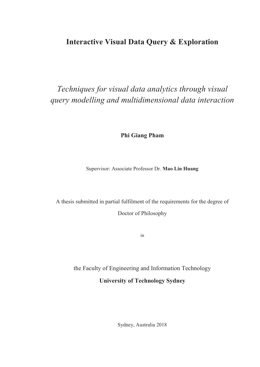#### **Interactive Visual Data Query & Exploration**

## *Techniques for visual data analytics through visual query modelling and multidimensional data interaction*

**Phi Giang Pham**

Supervisor: Associate Professor Dr. **Mao Lin Huang**

A thesis submitted in partial fulfilment of the requirements for the degree of Doctor of Philosophy

in

the Faculty of Engineering and Information Technology

#### **University of Technology Sydney**

Sydney, Australia 2018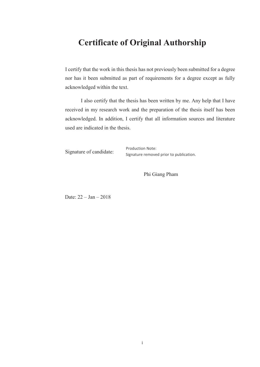### **Certificate of Original Authorship**

I certify that the work in this thesis has not previously been submitted for a degree nor has it been submitted as part of requirements for a degree except as fully acknowledged within the text.

I also certify that the thesis has been written by me. Any help that I have received in my research work and the preparation of the thesis itself has been acknowledged. In addition, I certify that all information sources and literature used are indicated in the thesis.

Signature of candidate:

Production Note: Signature removed prior to publication.

Phi Giang Pham

Date: 22 – Jan – 2018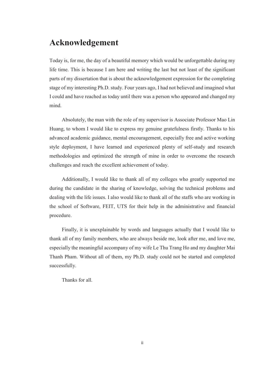#### **Acknowledgement**

Today is, for me, the day of a beautiful memory which would be unforgettable during my life time. This is because I am here and writing the last but not least of the significant parts of my dissertation that is about the acknowledgement expression for the completing stage of my interesting Ph.D. study. Four years ago, I had not believed and imagined what I could and have reached as today until there was a person who appeared and changed my mind.

Absolutely, the man with the role of my supervisor is Associate Professor Mao Lin Huang, to whom I would like to express my genuine gratefulness firstly. Thanks to his advanced academic guidance, mental encouragement, especially free and active working style deployment, I have learned and experienced plenty of self-study and research methodologies and optimized the strength of mine in order to overcome the research challenges and reach the excellent achievement of today.

Additionally, I would like to thank all of my colleges who greatly supported me during the candidate in the sharing of knowledge, solving the technical problems and dealing with the life issues. I also would like to thank all of the staffs who are working in the school of Software, FEIT, UTS for their help in the administrative and financial procedure.

Finally, it is unexplainable by words and languages actually that I would like to thank all of my family members, who are always beside me, look after me, and love me, especially the meaningful accompany of my wife Le Thu Trang Ho and my daughter Mai Thanh Pham. Without all of them, my Ph.D. study could not be started and completed successfully.

Thanks for all.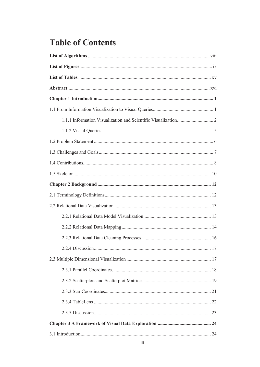### **Table of Contents**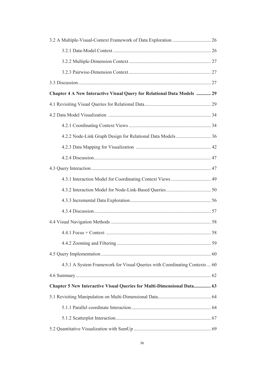| Chapter 4 A New Interactive Visual Query for Relational Data Models  29    |  |
|----------------------------------------------------------------------------|--|
|                                                                            |  |
|                                                                            |  |
|                                                                            |  |
|                                                                            |  |
|                                                                            |  |
|                                                                            |  |
|                                                                            |  |
|                                                                            |  |
|                                                                            |  |
|                                                                            |  |
|                                                                            |  |
|                                                                            |  |
|                                                                            |  |
|                                                                            |  |
|                                                                            |  |
| 4.5.1 A System Framework for Visual Queries with Coordinating Contexts  60 |  |
|                                                                            |  |
| Chapter 5 New Interactive Visual Queries for Multi-Dimensional Data 63     |  |
|                                                                            |  |
|                                                                            |  |
|                                                                            |  |
|                                                                            |  |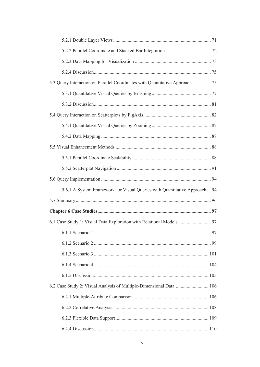| 5.3 Query Interaction on Parallel Coordinates with Quantitative Approach  75 |  |
|------------------------------------------------------------------------------|--|
|                                                                              |  |
|                                                                              |  |
|                                                                              |  |
|                                                                              |  |
|                                                                              |  |
|                                                                              |  |
|                                                                              |  |
|                                                                              |  |
|                                                                              |  |
| 5.6.1 A System Framework for Visual Queries with Quantitative Approach  94   |  |
|                                                                              |  |
|                                                                              |  |
| 6.1 Case Study 1: Visual Data Exploration with Relational Models  97         |  |
|                                                                              |  |
|                                                                              |  |
|                                                                              |  |
|                                                                              |  |
|                                                                              |  |
| 6.2 Case Study 2: Visual Analysis of Multiple-Dimensional Data  106          |  |
|                                                                              |  |
|                                                                              |  |
|                                                                              |  |
|                                                                              |  |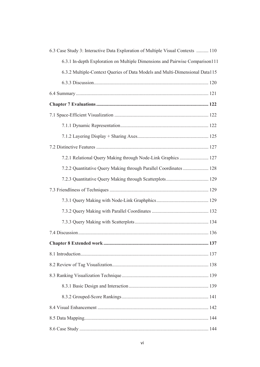| 6.3 Case Study 3: Interactive Data Exploration of Multiple Visual Contexts  110 |
|---------------------------------------------------------------------------------|
| 6.3.1 In-depth Exploration on Multiple Dimensions and Pairwise Comparison111    |
| 6.3.2 Multiple-Context Queries of Data Models and Multi-Dimensional Data115     |
|                                                                                 |
|                                                                                 |
|                                                                                 |
|                                                                                 |
|                                                                                 |
|                                                                                 |
|                                                                                 |
| 7.2.1 Relational Query Making through Node-Link Graphics  127                   |
| 7.2.2 Quantitative Query Making through Parallel Coordinates  128               |
|                                                                                 |
|                                                                                 |
|                                                                                 |
|                                                                                 |
|                                                                                 |
|                                                                                 |
| 137                                                                             |
|                                                                                 |
|                                                                                 |
|                                                                                 |
|                                                                                 |
|                                                                                 |
|                                                                                 |
|                                                                                 |
|                                                                                 |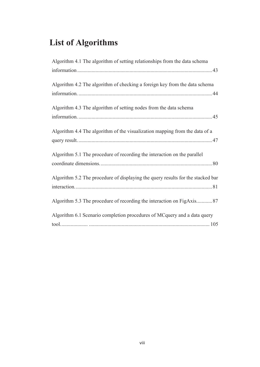# **List of Algorithms**

| Algorithm 4.1 The algorithm of setting relationships from the data schema       |
|---------------------------------------------------------------------------------|
|                                                                                 |
| Algorithm 4.2 The algorithm of checking a foreign key from the data schema      |
| Algorithm 4.3 The algorithm of setting nodes from the data schema               |
| Algorithm 4.4 The algorithm of the visualization mapping from the data of a     |
| Algorithm 5.1 The procedure of recording the interaction on the parallel        |
| Algorithm 5.2 The procedure of displaying the query results for the stacked bar |
| Algorithm 5.3 The procedure of recording the interaction on FigAxis87           |
| Algorithm 6.1 Scenario completion procedures of MCquery and a data query        |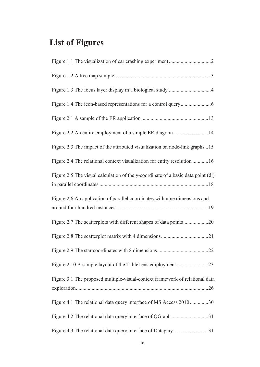# **List of Figures**

| Figure 2.2 An entire employment of a simple ER diagram 14                        |
|----------------------------------------------------------------------------------|
| Figure 2.3 The impact of the attributed visualization on node-link graphs 15     |
| Figure 2.4 The relational context visualization for entity resolution 16         |
| Figure 2.5 The visual calculation of the y-coordinate of a basic data point (di) |
| Figure 2.6 An application of parallel coordinates with nine dimensions and       |
|                                                                                  |
| Figure 2.7 The scatterplots with different shapes of data points20               |
|                                                                                  |
|                                                                                  |
| Figure 2.10 A sample layout of the TableLens employment 23                       |
| Figure 3.1 The proposed multiple-visual-context framework of relational data     |
| Figure 4.1 The relational data query interface of MS Access 2010 30              |
| Figure 4.2 The relational data query interface of QGraph 31                      |
| Figure 4.3 The relational data query interface of Dataplay31                     |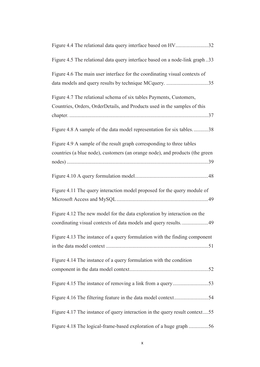| Figure 4.4 The relational data query interface based on HV32                                                                                          |
|-------------------------------------------------------------------------------------------------------------------------------------------------------|
| Figure 4.5 The relational data query interface based on a node-link graph33                                                                           |
| Figure 4.6 The main user interface for the coordinating visual contexts of<br>data models and query results by technique MCquery. 35                  |
| Figure 4.7 The relational schema of six tables Payments, Customers,<br>Countries, Orders, OrderDetails, and Products used in the samples of this      |
| Figure 4.8 A sample of the data model representation for six tables38                                                                                 |
| Figure 4.9 A sample of the result graph corresponding to three tables<br>countries (a blue node), customers (an orange node), and products (the green |
|                                                                                                                                                       |
| Figure 4.11 The query interaction model proposed for the query module of                                                                              |
| Figure 4.12 The new model for the data exploration by interaction on the<br>coordinating visual contexts of data models and query results49           |
| Figure 4.13 The instance of a query formulation with the finding component                                                                            |
| Figure 4.14 The instance of a query formulation with the condition                                                                                    |
|                                                                                                                                                       |
| Figure 4.16 The filtering feature in the data model context54                                                                                         |
| Figure 4.17 The instance of query interaction in the query result context55                                                                           |
| Figure 4.18 The logical-frame-based exploration of a huge graph 56                                                                                    |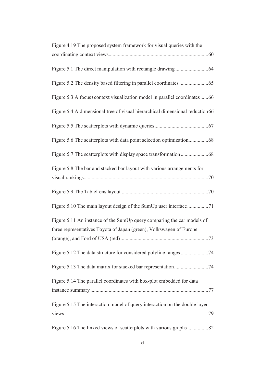| Figure 4.19 The proposed system framework for visual queries with the                                                                         |
|-----------------------------------------------------------------------------------------------------------------------------------------------|
|                                                                                                                                               |
|                                                                                                                                               |
|                                                                                                                                               |
| Figure 5.3 A focus+context visualization model in parallel coordinates66                                                                      |
| Figure 5.4 A dimensional tree of visual hierarchical dimensional reduction 66                                                                 |
|                                                                                                                                               |
|                                                                                                                                               |
|                                                                                                                                               |
| Figure 5.8 The bar and stacked bar layout with various arrangements for                                                                       |
|                                                                                                                                               |
|                                                                                                                                               |
| Figure 5.11 An instance of the SumUp query comparing the car models of<br>three representatives Toyota of Japan (green), Volkswagen of Europe |
|                                                                                                                                               |
|                                                                                                                                               |
|                                                                                                                                               |
| Figure 5.14 The parallel coordinates with box-plot embedded for data                                                                          |
|                                                                                                                                               |
| Figure 5.15 The interaction model of query interaction on the double layer                                                                    |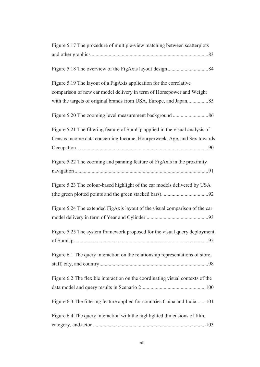| Figure 5.17 The procedure of multiple-view matching between scatterplots       |
|--------------------------------------------------------------------------------|
|                                                                                |
|                                                                                |
|                                                                                |
|                                                                                |
| Figure 5.19 The layout of a FigAxis application for the correlative            |
| comparison of new car model delivery in term of Horsepower and Weight          |
|                                                                                |
|                                                                                |
|                                                                                |
|                                                                                |
| Figure 5.21 The filtering feature of SumUp applied in the visual analysis of   |
| Census income data concerning Income, Hourperweek, Age, and Sex towards        |
|                                                                                |
|                                                                                |
| Figure 5.22 The zooming and panning feature of FigAxis in the proximity        |
|                                                                                |
|                                                                                |
| Figure 5.23 The colour-based highlight of the car models delivered by USA      |
|                                                                                |
| Figure 5.24 The extended FigAxis layout of the visual comparison of the car    |
|                                                                                |
|                                                                                |
| Figure 5.25 The system framework proposed for the visual query deployment      |
|                                                                                |
|                                                                                |
| Figure 6.1 The query interaction on the relationship representations of store, |
|                                                                                |
|                                                                                |
| Figure 6.2 The flexible interaction on the coordinating visual contexts of the |
|                                                                                |
|                                                                                |
| Figure 6.3 The filtering feature applied for countries China and India101      |
|                                                                                |
| Figure 6.4 The query interaction with the highlighted dimensions of film,      |
|                                                                                |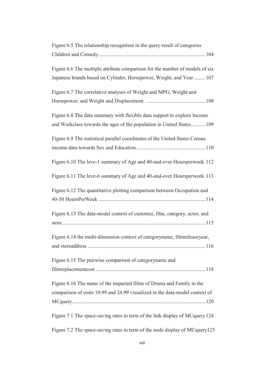| Figure 6.5 The relationship recognition in the query result of categories    |
|------------------------------------------------------------------------------|
|                                                                              |
|                                                                              |
| Figure 6.6 The multiple attribute comparison for the number of models of six |
| Japanese brands based on Cylinder, Horsepower, Weight, and Year  107         |
|                                                                              |
| Figure 6.7 The correlative analyses of Weight and MPG, Weight and            |
|                                                                              |
|                                                                              |
| Figure 6.8 The data summary with flexible data support to explore Income     |
| and Workclass towards the ages of the population in United States109         |
|                                                                              |
| Figure 6.9 The statistical parallel coordinates of the United States Census  |
|                                                                              |
|                                                                              |
| Figure 6.10 The leve-1 summary of Age and 40-and-over Hoursperweek.112       |
|                                                                              |
| Figure 6.11 The leve-6 summary of Age and 40-and-over Hoursperweek.113       |
|                                                                              |
| Figure 6.12 The quantitative plotting comparison between Occupation and      |
|                                                                              |
|                                                                              |
| Figure 6.13 The data-model context of customer, film, category, actor, and   |
|                                                                              |
|                                                                              |
| Figure 6.14 the multi-dimension context of categoryname, filmreleaseyear,    |
|                                                                              |
|                                                                              |
| Figure 6.15 The pairwise comparison of categoryname and                      |
|                                                                              |
|                                                                              |
| Figure 6.16 The name of the impacted films of Drama and Family in the        |
| comparison of costs 10.99 and 24.99 visualized in the data-model context of  |
|                                                                              |
|                                                                              |
| Figure 7.1 The space-saving rates in term of the link display of MCquery 124 |
|                                                                              |
| Figure 7.2 The space-saving rates in term of the node display of MCquery125  |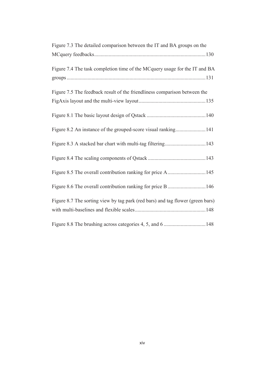| Figure 7.3 The detailed comparison between the IT and BA groups on the         |
|--------------------------------------------------------------------------------|
|                                                                                |
| Figure 7.4 The task completion time of the MCquery usage for the IT and BA     |
|                                                                                |
| Figure 7.5 The feedback result of the friendliness comparison between the      |
|                                                                                |
|                                                                                |
| Figure 8.2 An instance of the grouped-score visual ranking141                  |
|                                                                                |
|                                                                                |
|                                                                                |
| Figure 8.6 The overall contribution ranking for price B  146                   |
| Figure 8.7 The sorting view by tag park (red bars) and tag flower (green bars) |
|                                                                                |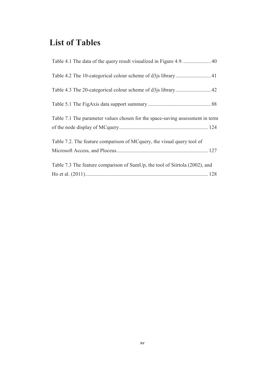### **List of Tables**

| Table 7.1 The parameter values chosen for the space-saving assessment in term |
|-------------------------------------------------------------------------------|
|                                                                               |
| Table 7.2. The feature comparison of MCquery, the visual query tool of        |
|                                                                               |
| Table 7.3 The feature comparison of SumUp, the tool of Siirtola (2002), and   |
|                                                                               |